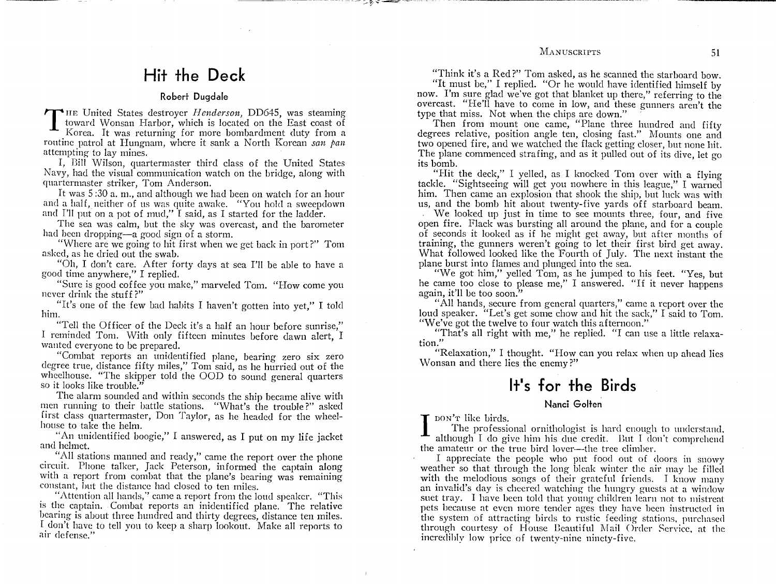"Think it's a Red?" Tom asked, as he scanned the starboard bow.

"It must be," I replied. "Or he would have identified himself by now. I'm sure glad we've got that blanket up there," referring to the overcast. "He'll have to come in low, and these gunners aren't the type that miss. Not when the chips are down."

Then from mount one came, "Plane three hundred and fifty degrees relative, position angle ten, closing fast." Mounts one and two opened fire, and we watched the flack getting closer, but none hit. The plane commenced strafing, and as it pulled out of its dive, let go its bomb.

"Hit the deck," I yelled, as I knocked Tom over with a flying tackle. "Sightseeing will get you nowhere in this league," I warned him. Then came an explosion that shook the ship, but luck was with us, and the bomb hit about twenty-five yards off starboard beam.

We looked up just in time to see mounts three, four, and five open fire. Flack was bursting all around the plane, and for a couple of seconds it looked as if he might get away, but after months of training, the gunners weren't going to let their first bird get away. What followed looked like the Fourth of July. The next instant the plane burst into flames and plunged into the sea.

"We got him," yelled Tom, as he jumped to his feet. "Yes, but he came too close to please me," <sup>I</sup> answered. "If it never happens again, it'll be too soon."

"All hands, secure from general quarters," came a report over the loud speaker. "Let's get some chow and hit the sack," I said to Tom. "We've got the twelve to four watch this afternoon."

"That's all right with me," he replied. "I can use a little relaxation."

"Relaxation," I thought. "How can you relax when up ahead lies Wonsan and there lies the enemy?"

# **It's for the Birds**

### **Nanci Golten**

DON'T like birds.

 $\prod_{\text{the}}$ The professional ornithologist is hard enough to understand, although I do give him his due credit. But I don't comprehend the amateur or the true bird lover--the tree climber.

I appreciate the people who put food out of doors in snowy weather so that through the long bleak winter the air may be filled with the melodious songs of their grateful friends. I know many an invalid's day is cheered watching the hungry guests at a window suet tray. I have been told that young children learn not to mistreat pets because at even more tender ages they have been instructed in the system of attracting birds to rustic feeding stations, purchased through courtesy of House Beautiful Mail Order Service, at the incredibly low price of twenty-nine ninety-five.